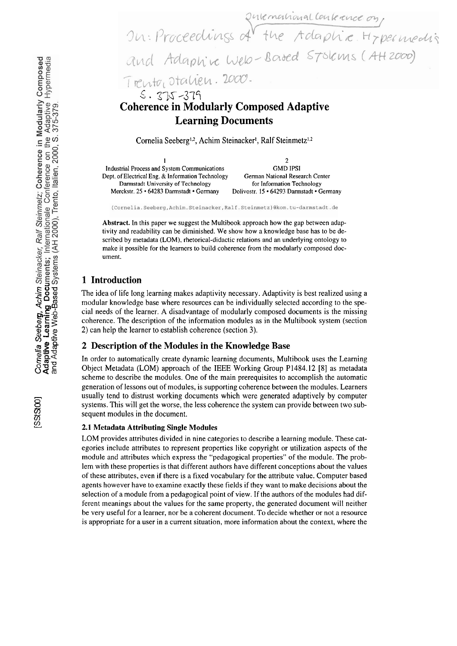On: Proceedings of the Adaphic Hypernedis<br>and Adaphic Web-Bard Stolems (AH2000) Trento, otalien. 2000.

• Germany

**Coherence in Modularly Composed Adaptive Learning Documents** 

Cornelia Seeberg<sup>1,2</sup>, Achim Steinacker<sup>1</sup>, Ralf Steinmetz<sup>1,2</sup>

| Industrial Process and System Communications      | <b>GMD IPSI</b>                        |
|---------------------------------------------------|----------------------------------------|
| Dept. of Electrical Eng. & Information Technology | German National Research Center        |
| Darmstadt University of Technology                | for Information Technology             |
| Merckstr. 25 · 64283 Darmstadt · Germany          | Dolivostr. 15 • 64293 Darmstadt • Gern |
|                                                   |                                        |

{Cornelia Seeberg Achim Steinacker Ralf Steinmetz}@kom.tu-darmstadt.de

**Abstract.** In this paper we suggest the Multibook approach how the gap between adaptivity and readability can be diminished. We show how a knowledge base has to be described by metadata (LOM), rhetorical-didactic relations and an underlying ontology to make it possible for the learners to build coherence from the modularly composed document.

**0-0 -5 o a,** The idea of life long learning makes adaptivity necessary. Adaptivity is best realized using a **oa <sup>m</sup> q <del>=</del>**  $\frac{q}{q}$  a and **modular knowledge base where resources can be individually selected according to the spe-6.E** cial needs of the learner. **A** disadvantage of modularly composed documents is the missing coherence. The description of the information modules as in the Multibook system (section

# **2) can help the learner to establish coherence (section 3).<br><b>2 Description of the Modules in the Knowledge Base**

In order to automatically create dynamic learning documents, Multibook uses the Learning Object Metadata (LOM) approach of the IEEE Working Group P1484.12 [8] as metadata scheme to describe the modules. One of the main prerequisites to accornplish the automatic generation of lessons out of modules, is supporting coherence between the modules. Learners usually tend to distrust working documents which were generated adaptively by computer systems. This will get the worse, the less coherence the system can provide between two subsequent modules in the document.

# 2 **2.1 Metadata Attributing Single Modules**

LOM provides attributes divided in nine categories to describe a learning module. These categories include attributes to represent properties like copyright or utilization aspects of the module and attributes which express the "pedagogical properties" of the module. The problem with these properties is that different authors have different conceptions about the values of these attributes, even if there is a fixed vocabulary for the attribute value. Computer based agents however have to examine exactly these fields if they Want to make decisions about the selection of a module from a pedagogical point of view. If the authors of the modules had different meanings about the values for the same property, the generated document will neither be very useful for a learner, nor be a coherent document. To decide whether or not a resource is appropriate for a user in a current situation, more information about the context, where the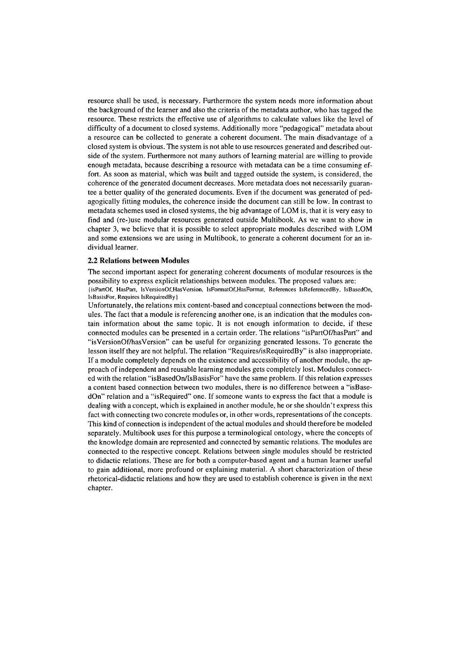resource shall be used, is necessary. Furthermore the system needs more information about the background of the learner and also the criteria of the metadata author, who has tagged the resource. These restricts the effective use of algorithms to calculate values like the level of difficulty of a document to closed systems. Additionally more "pedagogical" metadata about a resource can be collected to generate a coherent document. The main disadvantage of a closed system is obvious. The system is not able to use resources generated and described outside of the system. Furthermore not many authors of learning material are willing to provide enough metadata, because describing a resource with metadata can be a time consuming effort. As soon as material, which was built and tagged outside the system, is considered, the coherence of the generated document decreases. More metadata does not necessarily guarantee a better quality of the generated docuinents. Even if the document was generated of pedagogically fitting modules, the coherence inside the document can still be low. In contrast to metadata schemes used in closed systems, the big advantage of LOM is, that it is very easy to find and (re-)use modular resources generated outside Multibook. As we Want to show in chapter **3,** we believe that it is possible to select appropriate modules described with LOM and some extensions we are using in Multibook, to generate a coherent document for an individual learner.

### **2.2 Relations between Modules**

The second important aspect for generating coherent documents of modular resources is the possibility to express explicit relationships between modules. The proposed values are: {isPanOf. HasPart, IsVersionOf,HasVersion. IsFormatOf,HasForrnat, References IsReferencedBy. IsBasedOn, IsBasisFor, Requires IsRequiredBy)

Unfortunately, the relations mix content-based and conceptual connections between the modules. The fact that a module is referencing another one, is an indication that the modules contain information about the same topic. It is not enough information to decide, if these connected modules can be presented in a certain order. The relations "isPartOf/hasPart" and "isVersionOflhasVersion" can be useful for organizing generated lessons. To generate the lesson itself they are not helpful. The relation "RequireslisRequiredBy" is also inappropriate. If a module completely depends on the existence and accessibility of another module, the approach of independent and reusable learning modules gets completely lost. Modules connected with the relation "isBasedOn/IsBasisFor" have the same problem. If this relation expresses a content based connection between two modules, there is no difference between a "isBasedOn" relation and a "isRequired" one. If someone wants to express the fact that a module is dealing with a concept, which is explained in another module, he or she shouldn't express this fact with connecting two concrete modules or, in other words, representations of the concepts. This kind of connection is independent of the actual modules and should therefore be modeled separately. Multibook uses for this purpose a terminological ontology, where the concepts of the knowledge domain are represented and connected by semantic relations. The modules are connected to the respective concept. Relations between single modules should be restricted to didactic relations. These are for both a computer-based agent and a human learner useful to gain additional, more profound or explaining material. A short characterization of these rhetorical-didactic relations and how they are used to establish coherence is given in the next chapter.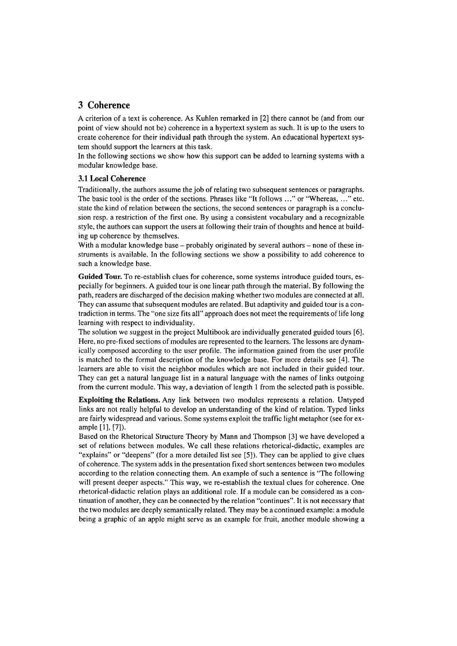# **3 Coherence**

A criterion of a text is coherence. As Kuhlen remarked in [2] there cannot be (and from our point of view should not be) coherence in a hypertext system as such. It is up to the users to create coherence for their individual path through the system. An educational hypertext system should support the learners at this task.

In the following sections we show how this support can be added to learning systems with a modular knowledge base.

# **3.1 Local Coherence**

Traditionally, the authors assume the job of relating two subsequent sentences or paragraphs. The basic tool is the order of the sections. Phrases like "It follows ..." or "Whereas, ..." etc. state the kind of relation between the sections, the second sentences or paragraph is a conclusion resp. a restriction of the first one. By using a consistent vocabulary and a recognizable style, the authors can support the users at following their train of thoughts and hence at building up coherence by themselves.

With a modular knowledge base – probably originated by several authors – none of these instruments is available. In the following sections we show a possibility to add coherence to such a knowledge base.

**Guided Tour.** To re-establish clues for coherence, some systems introduce guided tours, especially for beginnen. A guided tour is one linear path through the material. By following the path, readers are discharged of the decision making whether two modules are connected at all. They can assume that subsequent modules are related. But adaptivity and guided tour is a contradiction in terms. The "one size fits all" approach does not meet the requirements of life long learning with respect to individuality.

The solution we suggest in the project Multibook are individually generated guided tours [6]. Here, no pre-fixed sections of modules are represented to the learners. The lessons are dynamically composed according to the user profile. The information gained from the user profile is matched to the formal description of the knowledge base. For more details see [4]. The learners are able to visit the neighbor modules which are not included in their guided tour. They can get a natural language list in a natural language with the names of links outgoing from the current module. This way, a deviation of length **1** from the selected path is possible.

**Exploiting the Relations.** Any link between two modules represents a relation. Untyped links are not really helpful to develop an understanding of the kind of relation. Typed links are fairly widespread and various. Some systems exploit the traffic light metaphor (See for example [1], [7]).

Based on the Rhetorical Structure Theory by Mann and Thompson **[3]** we have developed a set of relations between modules. We call these relations rhetorical-didactic, examples are "explains" or "deepens" (for a more detailed list see [5]). They can be applied to give clues of coherence. The system adds in the presentation fixed short sentences between two modules according to the relation connecting them. An example of such a sentence is "The following will present deeper aspects." This way, we re-establish the textual clues for coherence. One rhetorical-didactic relation plays an additional role. If a module can be considered as a continuation of another, they can be connected by the relation "continues". It is not necessary that the two modules are deeply semantically related. They may be a continued example: a module being a graphic of an apple might serve as an example for fruit, another module showing a